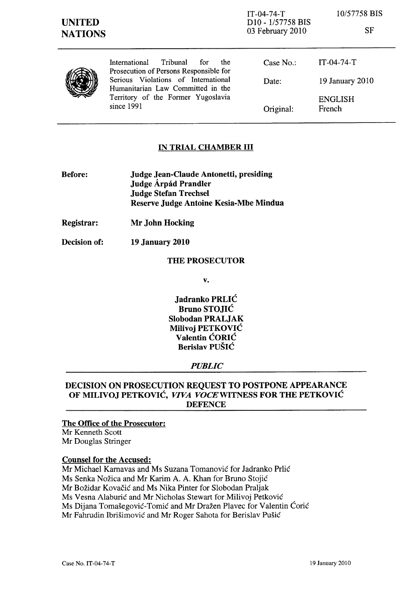| <b>UNITED</b><br><b>NATIONS</b> |                                                                                                                              | $IT-04-74-T$<br>D <sub>10</sub> - 1/57758 BIS<br>03 February 2010 | 10/57758 BIS<br><b>SF</b> |
|---------------------------------|------------------------------------------------------------------------------------------------------------------------------|-------------------------------------------------------------------|---------------------------|
|                                 | Tribunal<br><b>International</b><br>for<br>the<br>Prosecution of Persons Responsible for                                     | Case $No.$ :                                                      | $IT-04-74-T$              |
|                                 | Serious Violations of International<br>Humanitarian Law Committed in the<br>Territory of the Former Yugoslavia<br>since 1991 | Date:                                                             | 19 January 2010           |
|                                 |                                                                                                                              | Original:                                                         | <b>ENGLISH</b><br>French  |

#### **IN TRIAL CHAMBER III**

- Before: Judge Jean-Claude Antonetti, presiding Judge Árpád Prandler Judge Stefan Trechsel Reserve Judge Antoine Kesia-Mbe Mindua
- Registrar: Mr John Hocking
- Decision of: 19 January 2010

#### THE PROSECUTOR

v.

Jadranko PRLIC Bruno STOJIC Slobodan PRALJAK Milivoj PETKOVIC Valentin CORIC Berislav PUSIC

#### *PUBLIC*

# DECISION ON PROSECUTION REQUEST TO POSTPONE APPEARANCE OF MILIVOJ PETKOVIC, *VIVA VOCEWITNESS* FOR THE PETKOVIC **DEFENCE**

#### The Office of the Prosecutor:

Mr Kenneth Scott Mr Douglas Stringer

#### Counsel for the Accused:

Mr Michael Karnavas and Ms Suzana Tomanovic for Jadranko Prlic Ms Senka Nozica and Mr Karim A. A. Khan for Bruno Stojic Mr Božidar Kovačić and Ms Nika Pinter for Slobodan Praljak Ms Vesna Alaburić and Mr Nicholas Stewart for Milivoj Petković Ms Dijana Tomašegović-Tomić and Mr Dražen Plavec for Valentin Ćorić Mr Fahrudin Ibrisimovic and Mr Roger Sahota for Berislav Pusic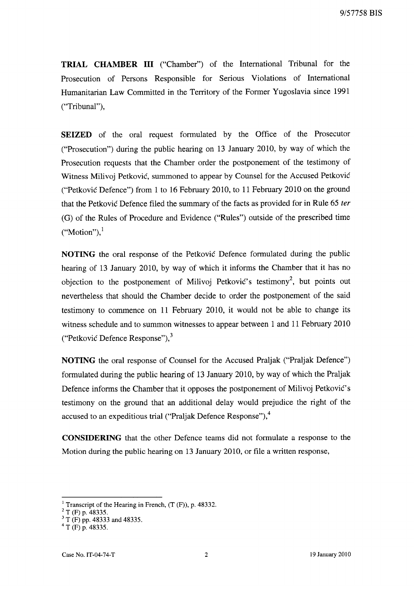**TRIAL CHAMBER III** ("Chamber") of the International Tribunal for the Prosecution of Persons Responsible for Serious Violations of International Humanitarian Law Committed in the Territory of the Former Yugoslavia since 1991 ("Tribunal"),

**SEIZED** of the oral request formulated by the Office of the Prosecutor ("Prosecution") during the public hearing on 13 January 2010, by way of which the Prosecution requests that the Chamber order the postponement of the testimony of Witness Milivoj Petković, summoned to appear by Counsel for the Accused Petković ("Petkovic Defence") from 1 to 16 February 2010, to 11 February 2010 on the ground that the Petkovic Defence filed the summary of the facts as provided for in Rule 65 ter (G) of the Rules of Procedure and Evidence ("Rules") outside of the prescribed time  $("Motion"),$ 

**NOTING** the oral response of the Petkovic Defence formulated during the public hearing of 13 January 2010, by way of which it informs the Chamber that it has no objection to the postponement of Milivoj Petković's testimony<sup>2</sup>, but points out nevertheless that should the Chamber decide to order the postponement of the said testimony to commence on 11 February 2010, it would not be able to change its witness schedule and to summon witnesses to appear between 1 and 11 February 2010 ("Petkovic Defence Response"), <sup>3</sup>

**NOTING** the oral response of Counsel for the Accused Praljak ("Praljak Defence") formulated during the public hearing of 13 January 2010, by way of which the Praljak Defence informs the Chamber that it opposes the postponement of Milivoj Petkovic's testimony on the ground that an additional delay would prejudice the right of the accused to an expeditious trial ("Praljak Defence Response"),<sup>4</sup>

**CONSIDERING** that the other Defence teams did not formulate a response to the Motion during the public hearing on 13 January 2010, or file a written response,

<sup>&</sup>lt;sup>1</sup> Transcript of the Hearing in French,  $(T (F))$ , p. 48332.

 $^{2}$  T (F) p. 48335.

 $3 \text{ T}$  (F) pp. 48333 and 48335.

 $^{4}$  T (F) p. 48335.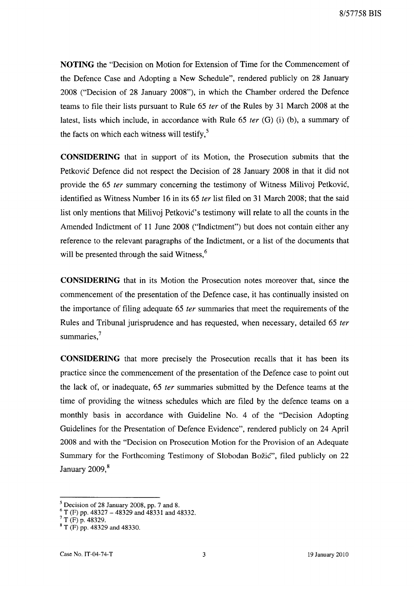**NOTING** the "Decision on Motion for Extension of Time for the Commencement of the Defence Case and Adopting a New Schedule", rendered publicly on 28 January 2008 ("Decision of 28 January 2008"), in which the Chamber ordered the Defence teams to file their lists pursuant to Rule 65 fer of the Rules by 31 March 2008 at the latest, lists which include, in accordance with Rule 65 fer (G) (i) (b), a summary of the facts on which each witness will testify, $5$ 

**CONSIDERING** that in support of its Motion, the Prosecution submits that the Petkovic Defence did not respect the Decision of 28 January 2008 in that it did not provide the 65 fer summary concerning the testimony of Witness Milivoj Petkovic, identified as Witness Number 16 in its 65 fer list filed on 31 March 2008; that the said list only mentions that Milivoj Petković's testimony will relate to all the counts in the Amended Indictment of 11 June 2008 ("Indictment") but does not contain either any reference to the relevant paragraphs of the Indictment, or a list of the documents that will be presented through the said Witness,<sup>6</sup>

**CONSIDERING** that in its Motion the Prosecution notes moreover that, since the commencement of the presentation of the Defence case, it has continually insisted on the importance of filing adequate 65 fer summaries that meet the requirements of the Rules and Tribunal jurisprudence and has requested, when necessary, detailed 65 fer summaries,<sup>7</sup>

**CONSIDERING** that more precisely the Prosecution recalls that it has been its practice since the commencement of the presentation of the Defence case to point out the lack of, or inadequate, 65 fer summaries submitted by the Defence teams at the time of providing the witness schedules which are filed by the defence teams on a monthly basis in accordance with Guideline No. 4 of the "Decision Adopting Guidelines for the Presentation of Defence Evidence", rendered publicly on 24 April 2008 and with the "Decision on Prosecution Motion for the Provision of an Adequate Summary for the Forthcoming Testimony of Slobodan Bozic", filed publicly on 22 January  $2009$ , $8$ 

 $<sup>5</sup>$  Decision of 28 January 2008, pp. 7 and 8.</sup>

 $^{\circ}$  T (F) pp. 48327 – 48329 and 48331 and 48332.

 $7 T (F) p. 48329.$ 

<sup>8</sup> T (F) pp. 48329 and 48330.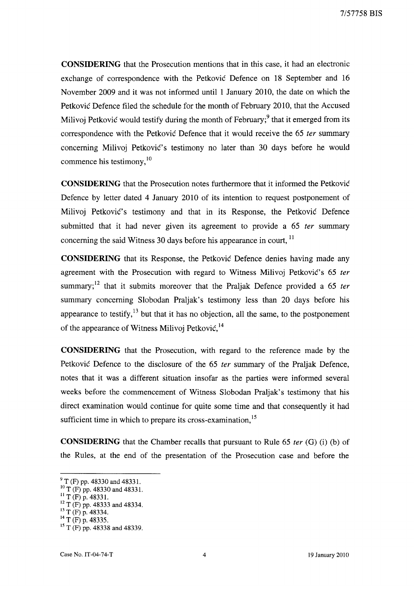**CONSIDERING** that the Prosecution mentions that in this case, it had an electronic exchange of correspondence with the Petkovic Defence on 18 September and 16 November 2009 and it was not informed until 1 January 2010, the date on which the Petkovic Defence filed the schedule for the month of February 2010, that the Accused Milivoj Petković would testify during the month of February;<sup>9</sup> that it emerged from its correspondence with the Petkovic Defence that it would receive the 65 *ter* summary concerning Milivoj Petković's testimony no later than 30 days before he would commence his testimony, <sup>10</sup>

**CONSIDERING** that the Prosecution notes furthermore that it informed the Petkovic Defence by letter dated 4 January 2010 of its intention to request postponement of Milivoj Petković's testimony and that in its Response, the Petković Defence submitted that it had never given its agreement to provide a 65 *ter* summary concerning the said Witness 30 days before his appearance in court.<sup>11</sup>

**CONSIDERING** that its Response, the Petkovic Defence denies having made any agreement with the Prosecution with regard to Witness Milivoj Petković's 65 *ter* summary;<sup>12</sup> that it submits moreover that the Praljak Defence provided a 65 *ter* summary concerning Slobodan Praljak's testimony less than 20 days before his appearance to testify,  $13$  but that it has no objection, all the same, to the postponement of the appearance of Witness Milivoj Petković,<sup>14</sup>

**CONSIDERING** that the Prosecution, with regard to the reference made by the Petkovic Defence to the disclosure of the 65 *ter* summary of the Praljak Defence, notes that it was a different situation insofar as the parties were informed several weeks before the commencement of Witness Slobodan Praljak's testimony that his direct examination would continue for quite some time and that consequently it had sufficient time in which to prepare its cross-examination,  $15$ 

**CONSIDERING** that the Chamber recalls that pursuant to Rule 65 *ter* (G) (i) (b) of the Rules, at the end of the presentation of the Prosecution case and before the

 $^{9}$  T (F) pp. 48330 and 48331.

 $^{10}$  T (F) pp. 48330 and 48331.

 $^{11}$  T (F) p. 48331.

 $12$  T (F) pp. 48333 and 48334.

 $^{13}$  T (F) p. 48334.

 $^{14}$  T (F) p. 48335.

<sup>&</sup>lt;sup>15</sup> T (F) pp. 48338 and 48339.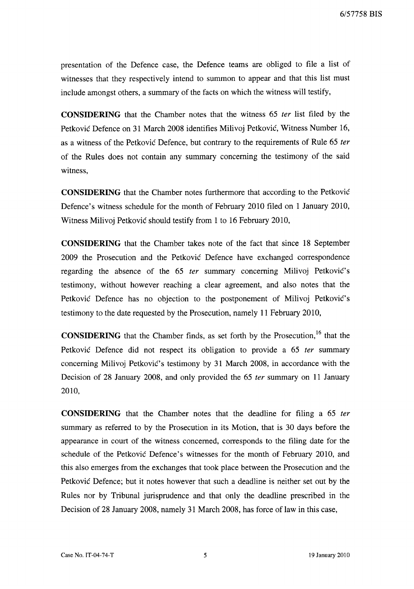6/57758 BIS

presentation of the Defence case, the Defence teams are obliged to file a list of witnesses that they respectively intend to summon to appear and that this list must include amongst others, a summary of the facts on which the witness will testify,

**CONSIDERING** that the Chamber notes that the witness 65 ter list filed by the Petkovic Defence on 31 March 2008 identifies Milivoj Petkovic, Witness Number 16, as a witness of the Petkovic Defence, but contrary to the requirements of Rule 65 fer of the Rules does not contain any summary concerning the testimony of the said witness,

**CONSIDERING** that the Chamber notes furthermore that according to the Petkovic Defence's witness schedule for the month of February 2010 filed on 1 January 2010, Witness Milivoj Petkovic should testify from 1 to 16 February 2010,

**CONSIDERING** that the Chamber takes note of the fact that since 18 September 2009 the Prosecution and the Petkovic Defence have exchanged correspondence regarding the absence of the 65 ter summary concerning Milivoj Petković's testimony, without however reaching a clear agreement, and also notes that the Petković Defence has no objection to the postponement of Milivoj Petković's testimony to the date requested by the Prosecution, namely 11 February 2010,

**CONSIDERING** that the Chamber finds, as set forth by the Prosecution,<sup>16</sup> that the Petkovic Defence did not respect its obligation to provide a 65 ter summary concerning Milivoj Petković's testimony by 31 March 2008, in accordance with the Decision of 28 January 2008, and only provided the 65 ter summary on 11 January 2010,

**CONSIDERING** that the Chamber notes that the deadline for filing a 65 ter summary as referred to by the Prosecution in its Motion, that is 30 days before the appearance in court of the witness concerned, corresponds to the filing date for the schedule of the Petkovic Defence's witnesses for the month of February 2010, and this also emerges from the exchanges that took place between the Prosecution and the Petkovic Defence; but it notes however that such a deadline is neither set out by the Rules nor by Tribunal jurisprudence and that only the deadline prescribed in the Decision of 28 January 2008, namely 31 March 2008, has force of law in this case,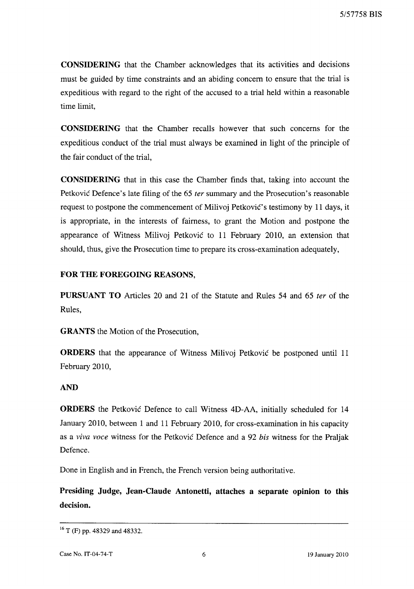CONSIDERING that the Chamber acknowledges that its activities and decisions must be guided by time constraints and an abiding concern to ensure that the trial is expeditious with regard to the right of the accused to a trial held within a reasonable time limit,

CONSIDERING that the Chamber recalls however that such concerns for the expeditious conduct of the trial must always be examined in light of the principle of the fair conduct of the trial,

CONSIDERING that in this case the Chamber finds that, taking into account the Petković Defence's late filing of the 65 *ter* summary and the Prosecution's reasonable request to postpone the commencement of Milivoj Petković's testimony by 11 days, it is appropriate, in the interests of fairness, to grant the Motion and postpone the appearance of Witness Milivoj Petkovic to 11 February 2010, an extension that should, thus, give the Prosecution time to prepare its cross-examination adequately,

# FOR THE FOREGOING REASONS,

PURSUANT TO Articles 20 and 21 of the Statute and Rules 54 and 65 fer of the Rules,

GRANTS the Motion of the Prosecution,

ORDERS that the appearance of Witness Milivoj Petkovic be postponed until 11 February 2010,

# AND

ORDERS the Petkovic Defence to call Witness 4D-AA, initially scheduled for 14 January 2010, between 1 and 11 February 2010, for cross-examination in his capacity as a *viva voce* witness for the Petkovic Defence and a 92 *his* witness for the Praljak Defence.

Done in English and in French, the French version being authoritative.

Presiding Judge, Jean-Claude Antonetti, attaches a separate opinion to this decision.

<sup>16</sup> T (F) pp. 48329 and 48332.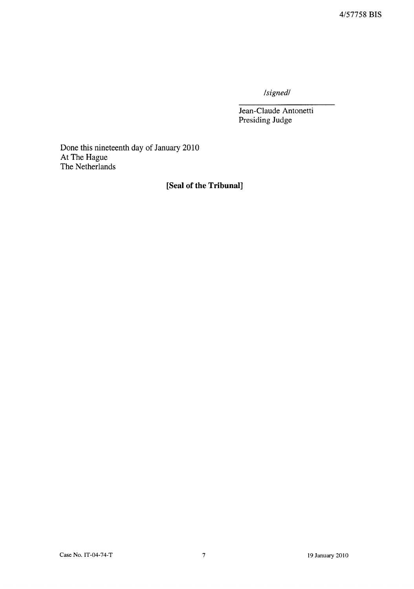*Isignedl* 

Jean-Claude Antonetti Presiding Judge

Done this nineteenth day of January 2010 At The Hague The Netherlands

# **[Seal of the Tribunal]**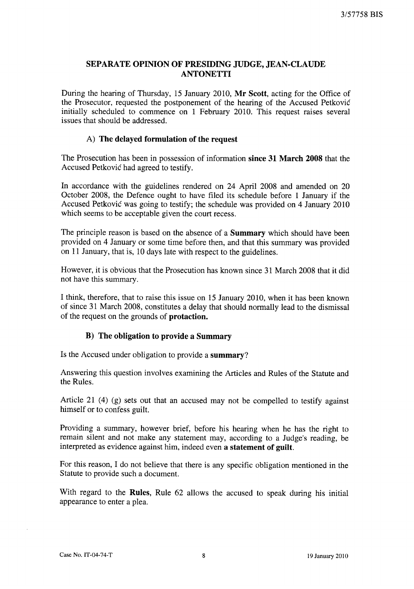# SEPARATE OPINION OF PRESIDING JUDGE, JEAN-CLAUDE **ANTONETTI**

During the hearing of Thursday, 15 January 2010, Mr Scott, acting for the Office of the Prosecutor, requested the postponement of the hearing of the Accused Petkovic initially scheduled to commence on 1 February 2010. This request raises several issues that should be addressed.

# A) The delayed formulation of the request

The Prosecution has been in possession of information since 31 March 2008 that the Accused Petkovic had agreed to testify.

In accordance with the guidelines rendered on 24 April 2008 and amended on 20 October 2008, the Defence ought to have filed its schedule before 1 January if the Accused Petkovic was going to testify; the schedule was provided on 4 January 2010 which seems to be acceptable given the court recess.

The principle reason is based on the absence of a **Summary** which should have been provided on 4 January or some time before then, and that this summary was provided on 11 January, that is, 10 days late with respect to the guidelines.

However, it is obvious that the Prosecution has known since 31 March 2008 that it did not have this summary.

I think, therefore, that to raise this issue on 15 January 2010, when it has been known of since 31 March 2008, constitutes a delay that should normally lead to the dismissal of the request on the grounds of protaction.

# B) The obligation to provide a Summary

Is the Accused under obligation to provide a summary?

Answering this question involves examining the Articles and Rules of the Statute and the Rules.

Article 21 (4) (g) sets out that an accused may not be compelled to testify against himself or to confess guilt.

Providing a summary, however brief, before his hearing when he has the right to remain silent and not make any statement may, according to a Judge's reading, be interpreted as evidence against him, indeed even a statement of guilt.

For this reason, I do not believe that there is any specific obligation mentioned in the Statute to provide such a document.

With regard to the Rules, Rule 62 allows the accused to speak during his initial appearance to enter a plea.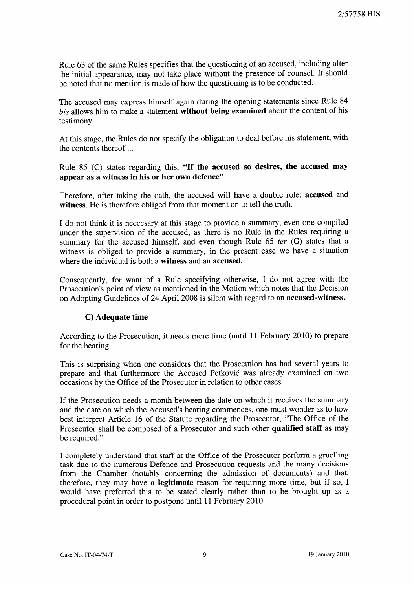Rule 63 of the same Rules specifies that the questioning of an accused, including after the initial appearance, may not take place without the presence of counsel. It should be noted that no mention is made of how the questioning is to be conducted.

The accused may express himself again during the opening statements since Rule 84 *his* allows him to make a statement without being examined about the content of his testimony.

At this stage, the Rules do not specify the obligation to deal before his statement, with the contents thereof ...

Rule 85 (C) states regarding this, "If the accused so desires, the accused may appear as a witness in his or her own defence"

Therefore, after taking the oath, the accused will have a double role: accused and witness. He is therefore obliged from that moment on to tell the truth.

I do not think it is neccesary at this stage to provide a summary, even one compiled under the supervision of the accused, as there is no Rule in the Rules requiring a summary for the accused himself, and even though Rule 65 *ter* (G) states that a witness is obliged to provide a summary, in the present case we have a situation where the individual is both a **witness** and an **accused**.

Consequently, for want of a Rule specifying otherwise, I do not agree with the Prosecution's point of view as mentioned in the Motion which notes that the Decision on Adopting Guidelines of 24 April 2008 is silent with regard to an accused-witness.

# C) Adequate time

According to the Prosecution, it needs more time (until 11 February 2010) to prepare for the hearing.

This is surprising when one considers that the Prosecution has had several years to prepare and that furthermore the Accused Petkovic was already examined on two occasions by the Office of the Prosecutor in relation to other cases.

If the Prosecution needs a month between the date on which it receives the summary and the date on which the Accused's hearing commences, one must wonder as to how best interpret Article 16 of the Statute regarding the Prosecutor, "The Office of the Prosecutor shall be composed of a Prosecutor and such other qualified staff as may be required."

I completely understand that staff at the Office of the Prosecutor perform a gruelling task due to the numerous Defence and Prosecution requests and the many decisions from the Chamber (notably concerning the admission of documents) and that, therefore, they may have a legitimate reason for requiring more time, but if so, I would have preferred this to be stated clearly rather than to be brought up as a procedural point in order to postpone until 11 February 2010.